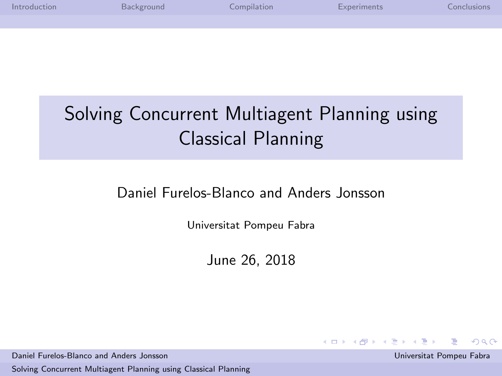| Introduction | Background | Compilation | Experiments | Conclusions |
|--------------|------------|-------------|-------------|-------------|
|              |            |             |             |             |
|              |            |             |             |             |

# Solving Concurrent Multiagent Planning using Classical Planning

### Daniel Furelos-Blanco and Anders Jonsson

Universitat Pompeu Fabra

June 26, 2018

Daniel Furelos-Blanco and Anders Jonsson Universitat Pompeu Fabra

[Solving Concurrent Multiagent Planning using Classical Planning](#page-21-0)

<span id="page-0-0"></span> $209$ 

 $\left\{ \begin{array}{ccc} 1 & 0 & 0 \\ 0 & 1 & 0 \end{array} \right\}$  ,  $\left\{ \begin{array}{ccc} 0 & 0 & 0 \\ 0 & 0 & 0 \end{array} \right\}$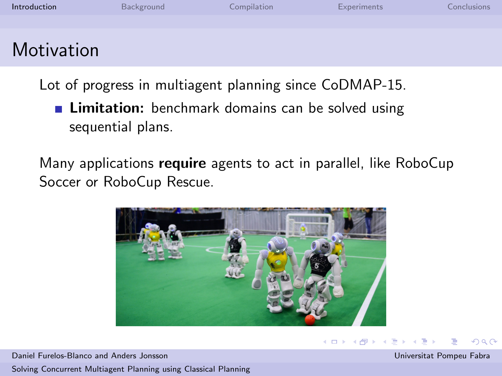| Introduction      | Background | Compilation | Experiments | Conclusions |
|-------------------|------------|-------------|-------------|-------------|
|                   |            |             |             |             |
| <b>Motivation</b> |            |             |             |             |

Lot of progress in multiagent planning since CoDMAP-15.

**Limitation:** benchmark domains can be solved using sequential plans.

Many applications require agents to act in parallel, like RoboCup Soccer or RoboCup Rescue.



Daniel Furelos-Blanco and Anders Jonsson Universitat Pompeu Fabra [Solving Concurrent Multiagent Planning using Classical Planning](#page-0-0)

<span id="page-1-0"></span> $\Omega$ 

**←ロト ←何ト**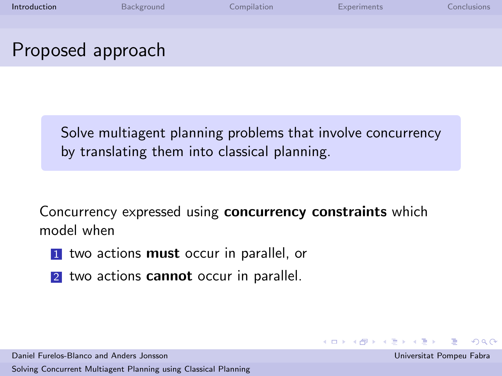| Introduction | Background        | Compilation | <b>Experiments</b> | Conclusions. |
|--------------|-------------------|-------------|--------------------|--------------|
|              |                   |             |                    |              |
|              | Proposed approach |             |                    |              |

Solve multiagent planning problems that involve concurrency by translating them into classical planning.

Concurrency expressed using concurrency constraints which model when

 $\left\{ \begin{array}{ccc} 1 & 0 & 0 \\ 0 & 1 & 0 \end{array} \right.$  ,  $\left\{ \begin{array}{ccc} \frac{1}{2} & 0 & 0 \\ 0 & 0 & 0 \end{array} \right.$ 

- 1 two actions must occur in parallel, or
- 2 two actions **cannot** occur in parallel.

Daniel Furelos-Blanco and Anders Jonsson Universitat Pompeu Fabra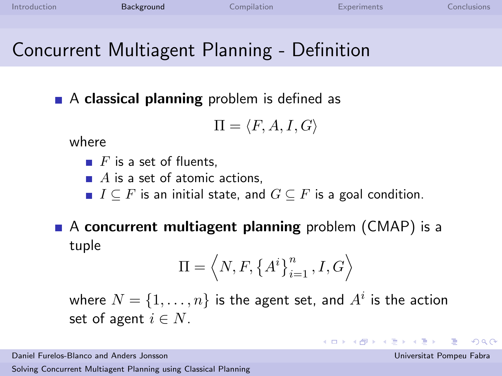## Concurrent Multiagent Planning - Definition

 $\blacksquare$  A classical planning problem is defined as

$$
\Pi=\langle F,A,I,G\rangle
$$

where

- $\blacksquare$  F is a set of fluents.
- $\blacksquare$  A is a set of atomic actions.
- $I \subseteq F$  is an initial state, and  $G \subseteq F$  is a goal condition.
- $\blacksquare$  A concurrent multiagent planning problem (CMAP) is a tuple

$$
\Pi = \left\langle N, F, \left\{ A^i \right\}_{i=1}^n, I, G \right\rangle
$$

where  $N=\{1,\ldots,n\}$  is the agent set, and  $A^i$  is the action set of agent  $i \in N$ .

Daniel Furelos-Blanco and Anders Jonsson Universitat Pompeu Fabra

[Solving Concurrent Multiagent Planning using Classical Planning](#page-0-0)

<span id="page-3-0"></span> $209$ 

 $\left\{ \begin{array}{ccc} 1 & 0 & 0 \\ 0 & 1 & 0 \end{array} \right.$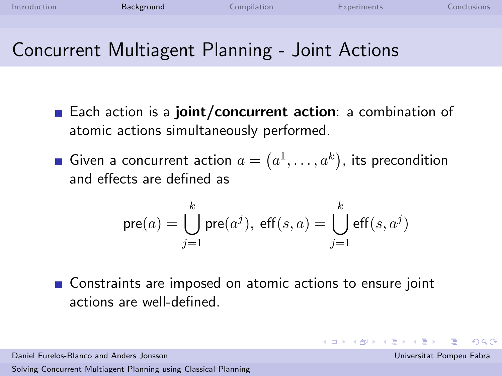- Each action is a joint/concurrent action: a combination of
	- atomic actions simultaneously performed.
	- Given a concurrent action  $a=(a^1,\ldots,a^k)$ , its precondition and effects are defined as

$$
\text{pre}(a) = \bigcup_{j=1}^k \text{pre}(a^j), \ \text{eff}(s,a) = \bigcup_{j=1}^k \text{eff}(s,a^j)
$$

■ Constraints are imposed on atomic actions to ensure joint actions are well-defined.

 $\Omega$ 

 $\left\{ \begin{array}{ccc} 1 & 0 & 0 \\ 0 & 1 & 0 \end{array} \right.$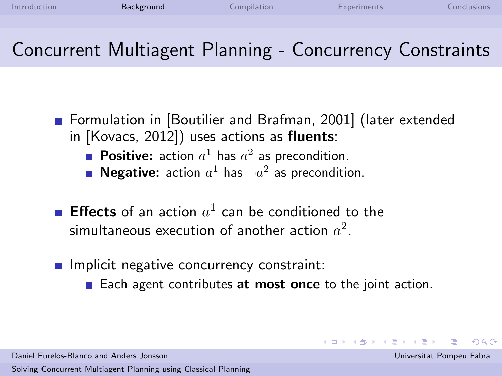# Concurrent Multiagent Planning - Concurrency Constraints

**Formulation in Boutilier and Brafman, 2001** (later extended in [\[Kovacs, 2012\]](#page-21-2)) uses actions as fluents:

- **Positive:** action  $a^1$  has  $a^2$  as precondition.
- **Negative:** action  $a^1$  has  $\neg a^2$  as precondition.
- **Effects** of an action  $a^1$  can be conditioned to the simultaneous execution of another action  $a^2.$
- $\blacksquare$  Implicit negative concurrency constraint:
	- Each agent contributes at most once to the joint action.

Daniel Furelos-Blanco and Anders Jonsson Universitat Pompeu Fabra

 $\left\{ \begin{array}{ccc} 1 & 0 & 0 \\ 0 & 1 & 0 \end{array} \right.$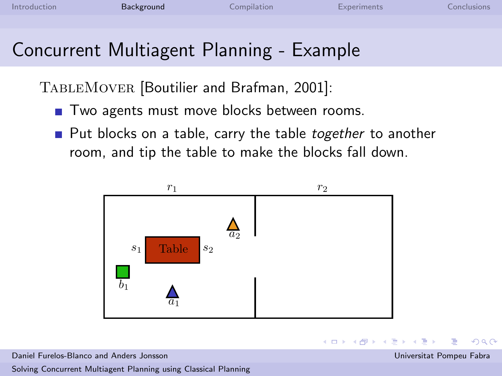# Concurrent Multiagent Planning - Example

TABLEMOVER [\[Boutilier and Brafman, 2001\]](#page-21-1):

- Two agents must move blocks between rooms.
- Put blocks on a table, carry the table *together* to another room, and tip the table to make the blocks fall down.



Daniel Furelos-Blanco and Anders Jonsson Universitat Pompeu Fabra

 $\Omega$ 

→ 何 →

舌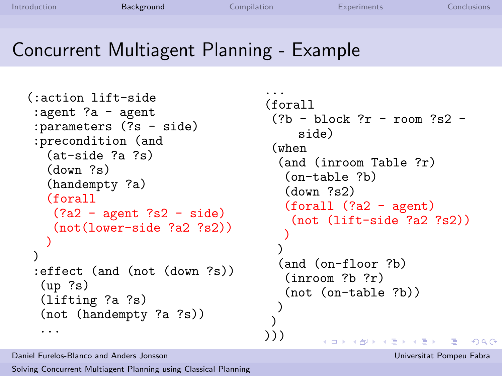### Concurrent Multiagent Planning - Example

```
(:action lift-side
 :agent ?a - agent
 :parameters (?s - side)
 :precondition (and
  (at-side ?a ?s)
  (down ?s)
  (handempty ?a)
  (forall
   (?a2 - agent ?s2 - side)(not(lower-side ?a2 ?s2))
  )
)
 :effect (and (not (down ?s))
 (up ?s)
 (lifting ?a ?s)
 (not (handempty ?a ?s))
  ...
```

```
...
(forall
 (?b - block ?r - room ?s2 -side)
 (when
  (and (inroom Table ?r)
  (on-table ?b)
  (down ?s2)
  (forall (?a2 - agent)
   (not (lift-side ?a2 ?s2))
   )
  )
  (and (on-floor ?b)
   (inroom ?b ?r)
  (not (on-table ?b))
  )
 )
)))
        メロメ メ都 メメ きょ メモメ
                               \Omega
```
Daniel Furelos-Blanco and Anders Jonsson Universitat Pompeu Fabra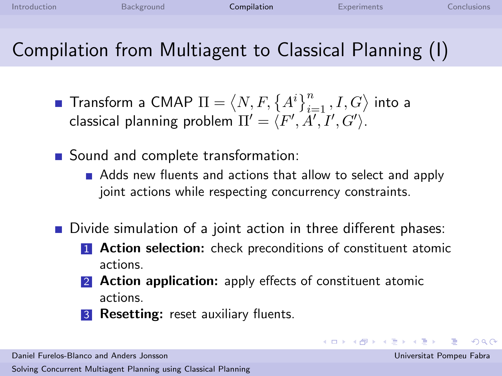## Compilation from Multiagent to Classical Planning (I)

- Transform a CMAP  $\Pi = \langle N, F, \left\{ A^i \right\}_{i=1}^n, I, G \rangle$  into a classical planning problem  $\Pi' = \langle F', \AA', I', G' \rangle.$
- Sound and complete transformation:
	- Adds new fluents and actions that allow to select and apply joint actions while respecting concurrency constraints.
- Divide simulation of a joint action in three different phases:
	- **1 Action selection:** check preconditions of constituent atomic actions.
	- 2 **Action application:** apply effects of constituent atomic actions.
	- **3 Resetting:** reset auxiliary fluents.

Daniel Furelos-Blanco and Anders Jonsson Universitat Pompeu Fabra

[Solving Concurrent Multiagent Planning using Classical Planning](#page-0-0)

<span id="page-8-0"></span> $\Omega$ 

 $\left\{ \begin{array}{ccc} 1 & 0 & 0 \\ 0 & 1 & 0 \end{array} \right.$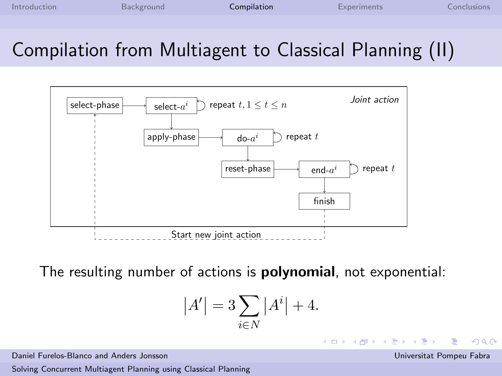## Compilation from Multiagent to Classical Planning (II)



The resulting number of actions is polynomial, not exponential:

$$
\left|A'\right|=3\sum_{i\in N}\left|A^{i}\right|+4.
$$

Daniel Furelos-Blanco and Anders Jonsson Universitat Pompeu Fabra

[Solving Concurrent Multiagent Planning using Classical Planning](#page-0-0)

 $\Omega$ 

 $\left\{ \begin{array}{ccc} 1 & 0 & 0 \\ 0 & 1 & 0 \end{array} \right\}$  ,  $\left\{ \begin{array}{ccc} 0 & 0 & 0 \\ 0 & 0 & 0 \end{array} \right\}$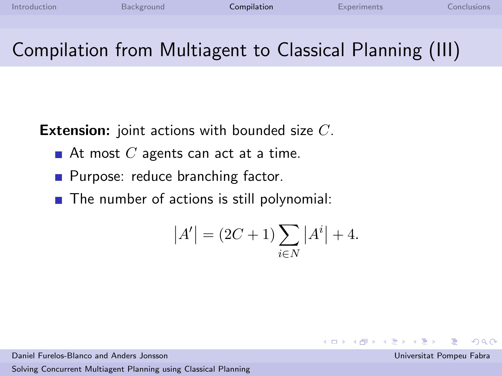# Compilation from Multiagent to Classical Planning (III)

**Extension:** joint actions with bounded size C.

- At most  $C$  agents can act at a time.
- **Purpose: reduce branching factor.**
- $\blacksquare$  The number of actions is still polynomial:

$$
|A'| = (2C + 1) \sum_{i \in N} |A^{i}| + 4.
$$

Daniel Furelos-Blanco and Anders Jonsson Universitat Pompeu Fabra

[Solving Concurrent Multiagent Planning using Classical Planning](#page-0-0)

<span id="page-10-0"></span> $209$ 

 $\left\{ \begin{array}{ccc} 1 & 0 & 0 \\ 0 & 1 & 0 \end{array} \right.$  ,  $\left\{ \begin{array}{ccc} \frac{1}{2} & 0 & 0 \\ 0 & 0 & 0 \end{array} \right.$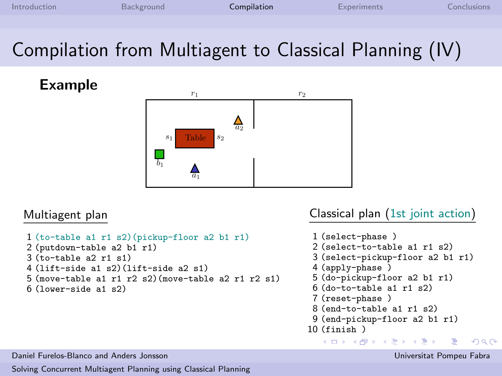# Compilation from Multiagent to Classical Planning (IV)

Example



#### Multiagent plan

```
1 (to-table a1 r1 s2)(pickup-floor a2 b1 r1)
2 (putdown-table a2 b1 r1)
3 (t_0 - t_0) and t_0 and t_1 and t_24 (lift-side a1 s2)(lift-side a2 s1)
5 (move-table a1 r1 r2 s2)(move-table a2 r1 r2 s1)
6 (lower-side a1 s2)
```
#### Classical plan (1st joint action)

```
1 (select-phase )
 2 (select-to-table a1 r1 s2)
 3 (select-pickup-floor a2 b1 r1)
 4 (apply-phase )
 5 (do-pickup-floor a2 b1 r1)
 6 (do-to-table a1 r1 s2)
 7 (reset-phase )
 8 (end-to-table a1 r1 s2)
 9 (end-pickup-floor a2 b1 r1)
10 (finish )
   メロト メ御 トメ きょ メき)
                                 \Omega
```
Daniel Furelos-Blanco and Anders Jonsson Universitat Pompeu Fabra

<span id="page-11-0"></span>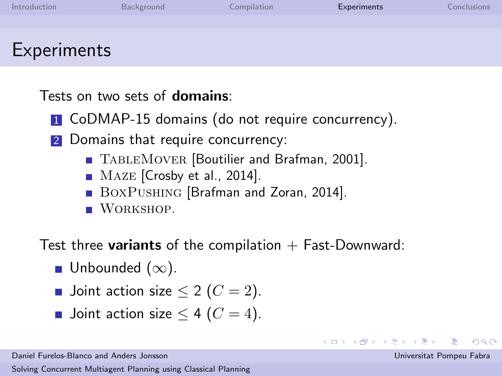| Introduction | Background | Compilation | Experiments | <b>Conclusions</b> |
|--------------|------------|-------------|-------------|--------------------|
|              |            |             |             |                    |
|              |            |             |             |                    |
| Experiments  |            |             |             |                    |

Tests on two sets of domains:

**1** CoDMAP-15 domains (do not require concurrency).

2 Domains that require concurrency:

- TABLEMOVER [\[Boutilier and Brafman, 2001\]](#page-21-1).
- MAZE [\[Crosby et al., 2014\]](#page-21-3).
- BOXPUSHING [\[Brafman and Zoran, 2014\]](#page-21-4).
- **WORKSHOP.**

Test three **variants** of the compilation  $+$  Fast-Downward:

- Unbounded  $(\infty)$ .
- Joint action size  $\leq 2$  ( $C = 2$ ).
- Joint action size  $\leq 4$  ( $C = 4$ ).

Daniel Furelos-Blanco and Anders Jonsson Universitat Pompeu Fabra

[Solving Concurrent Multiagent Planning using Classical Planning](#page-0-0)

<span id="page-12-0"></span> $\Omega$ 

イロト イ部 ドイ君 ドイ君ド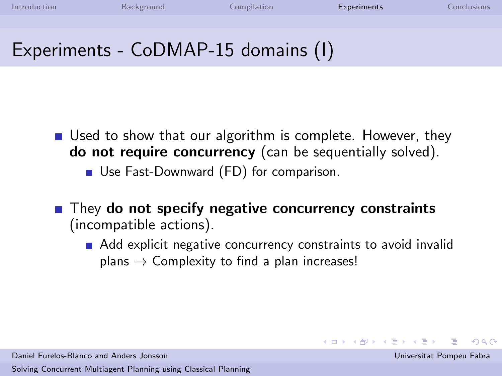### Experiments - CoDMAP-15 domains (I)

- Used to show that our algorithm is complete. However, they do not require concurrency (can be sequentially solved).
	- Use Fast-Downward (FD) for comparison.
- $\blacksquare$  They do not specify negative concurrency constraints (incompatible actions).
	- Add explicit negative concurrency constraints to avoid invalid  $plane \rightarrow$  Complexity to find a plan increases!

 $\Omega$ 

 $\left\{ \begin{array}{ccc} 1 & 0 & 0 \\ 0 & 1 & 0 \end{array} \right.$  ,  $\left\{ \begin{array}{ccc} \frac{1}{2} & 0 & 0 \\ 0 & 0 & 0 \end{array} \right.$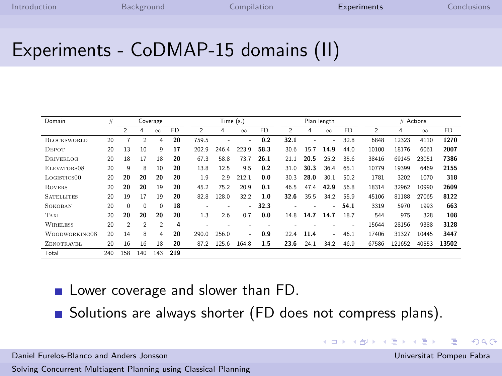$4$  ロ }  $4$   $\overline{m}$  }  $4$   $\overline{m}$  }

### Experiments - CoDMAP-15 domains (II)

| Domain                  | #   |                |                | Coverage       |           |                | Time (s.) |          |           |                | Plan length |          |           |                | $#$ Actions |          |           |
|-------------------------|-----|----------------|----------------|----------------|-----------|----------------|-----------|----------|-----------|----------------|-------------|----------|-----------|----------------|-------------|----------|-----------|
|                         |     | $\mathfrak{p}$ | 4              | $\infty$       | <b>FD</b> | $\mathfrak{p}$ | 4         | $\infty$ | <b>FD</b> | $\mathfrak{D}$ | 4           | $\infty$ | <b>FD</b> | $\mathfrak{p}$ | 4           | $\infty$ | <b>FD</b> |
| <b>BLOCKSWORLD</b>      | 20  |                | $\overline{2}$ | 4              | 20        | 759.5          |           | ۰        | 0.2       | 32.1           | ۰           | ٠        | 32.8      | 6848           | 12323       | 4110     | 1270      |
| DEPOT                   | 20  | 13             | 10             | 9              | 17        | 202.9          | 246.4     | 223.9    | 58.3      | 30.6           | 15.7        | 14.9     | 44.0      | 10100          | 18176       | 6061     | 2007      |
| <b>DRIVERLOG</b>        | 20  | 18             | 17             | 18             | 20        | 67.3           | 58.8      | 73.7     | 26.1      | 21.1           | 20.5        | 25.2     | 35.6      | 38416          | 69145       | 23051    | 7386      |
| ELEVATORS08             | 20  | q              | 8              | 10             | 20        | 13.8           | 12.5      | 9.5      | 0.2       | 31.0           | 30.3        | 36.4     | 65.1      | 10779          | 19399       | 6469     | 2155      |
| LOGISTICS <sub>00</sub> | 20  | 20             | 20             | 20             | 20        | 1.9            | 2.9       | 212.1    | 0.0       | 30.3           | 28.0        | 30.1     | 50.2      | 1781           | 3202        | 1070     | 318       |
| <b>ROVERS</b>           | 20  | 20             | 20             | 19             | 20        | 45.2           | 75.2      | 20.9     | 0.1       | 46.5           | 47.4        | 42.9     | 56.8      | 18314          | 32962       | 10990    | 2609      |
| <b>SATELLITES</b>       | 20  | 19             | 17             | 19             | 20        | 82.8           | 128.0     | 32.2     | 1.0       | 32.6           | 35.5        | 34.2     | 55.9      | 45106          | 81188       | 27065    | 8122      |
| <b>SOKOBAN</b>          | 20  | 0              | $\Omega$       | $\Omega$       | 18        |                |           | ÷.       | 32.3      |                |             | ÷.       | 54.1      | 3319           | 5970        | 1993     | 663       |
| TAXI                    | 20  | 20             | 20             | 20             | 20        | 1.3            | 2.6       | 07       | 0.0       | 14.8           | 14.7        | 14.7     | 18.7      | 544            | 975         | 328      | 108       |
| <b>WIRELESS</b>         | 20  | $\mathfrak{p}$ | $\mathcal{P}$  | $\mathfrak{p}$ | 4         |                |           |          |           |                |             |          |           | 15644          | 28156       | 9388     | 3128      |
| WOODWORKING08           | 20  | 14             | 8              | 4              | 20        | 290.0          | 256.0     | ۰.       | 0.9       | 224            | 11.4        | ÷        | 46.1      | 17406          | 31327       | 10445    | 3447      |
| ZENOTRAVEL              | 20  | 16             | 16             | 18             | 20        | 87.2           | 125.6     | 164.8    | 1.5       | 23.6           | 24.1        | 34.2     | 46.9      | 67586          | 121652      | 40553    | 13502     |
| Total                   | 240 | 158            | 140            | 143            | 219       |                |           |          |           |                |             |          |           |                |             |          |           |

- **Lower coverage and slower than FD.**
- Solutions are always shorter (FD does not compress plans).

Daniel Furelos-Blanco and Anders Jonsson Universitat Pompeu Fabra

[Solving Concurrent Multiagent Planning using Classical Planning](#page-0-0)

 $\Omega$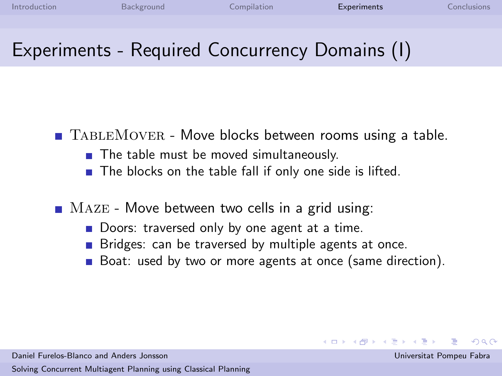### Experiments - Required Concurrency Domains (I)

- $\blacksquare$  TABLEMOVER Move blocks between rooms using a table.
	- The table must be moved simultaneously.
	- The blocks on the table fall if only one side is lifted.
- $\blacksquare$  Maze Move between two cells in a grid using:
	- Doors: traversed only by one agent at a time.
	- Bridges: can be traversed by multiple agents at once.
	- Boat: used by two or more agents at once (same direction).

 $\Omega$ 

 $\left\{ \begin{array}{ccc} 1 & 0 & 0 \\ 0 & 1 & 0 \end{array} \right.$  ,  $\left\{ \begin{array}{ccc} \frac{1}{2} & 0 & 0 \\ 0 & 0 & 0 \end{array} \right.$ 

Daniel Furelos-Blanco and Anders Jonsson Universitat Pompeu Fabra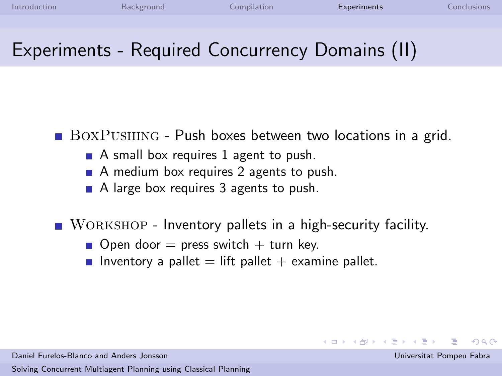## Experiments - Required Concurrency Domains (II)

BOXPUSHING - Push boxes between two locations in a grid.

- A small box requires 1 agent to push.
- A medium box requires 2 agents to push.
- A large box requires 3 agents to push.

■ WORKSHOP - Inventory pallets in a high-security facility.

- Open door  $=$  press switch  $+$  turn key.
- **Inventory a pallet = lift pallet + examine pallet.**

Daniel Furelos-Blanco and Anders Jonsson Universitat Pompeu Fabra

[Solving Concurrent Multiagent Planning using Classical Planning](#page-0-0)

 $\Omega$ 

 $\left\{ \begin{array}{ccc} 1 & 0 & 0 \\ 0 & 1 & 0 \end{array} \right.$  ,  $\left\{ \begin{array}{ccc} \frac{1}{2} & 0 & 0 \\ 0 & 0 & 0 \end{array} \right.$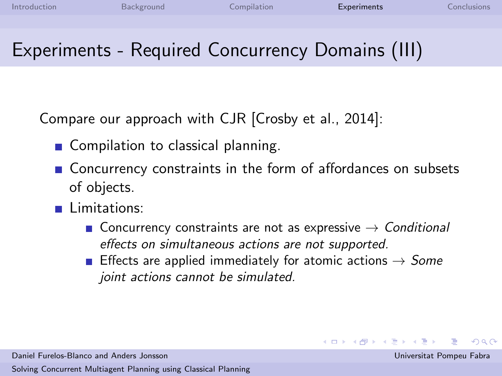# Experiments - Required Concurrency Domains (III)

Compare our approach with CJR [\[Crosby et al., 2014\]](#page-21-3):

- Compilation to classical planning.
- Concurrency constraints in the form of affordances on subsets of objects.
- **Limitations:** 
	- Concurrency constraints are not as expressive  $\rightarrow$  Conditional effects on simultaneous actions are not supported.
	- **E** Effects are applied immediately for atomic actions  $\rightarrow$  Some joint actions cannot be simulated.

 $\left\{ \begin{array}{ccc} 1 & 0 & 0 \\ 0 & 1 & 0 \end{array} \right.$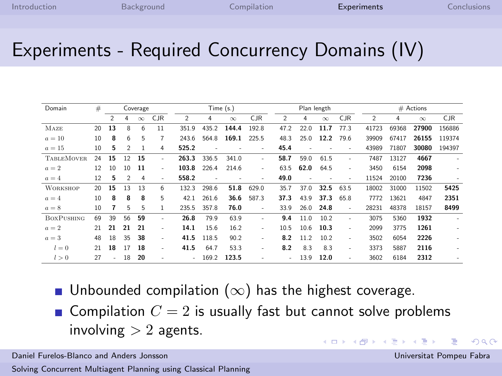### Experiments - Required Concurrency Domains (IV)

| Domain            | #  |                |                | Coverage |                          |                |                          | Time (s.) |                          |                          |      | Plan length              |                          |                |                | $#$ Actions |            |
|-------------------|----|----------------|----------------|----------|--------------------------|----------------|--------------------------|-----------|--------------------------|--------------------------|------|--------------------------|--------------------------|----------------|----------------|-------------|------------|
|                   |    | $\mathfrak{D}$ | 4              | $\infty$ | <b>CJR</b>               | $\mathfrak{D}$ | 4                        | $\infty$  | <b>CJR</b>               | 2                        | 4    | $\infty$                 | <b>CJR</b>               | $\mathfrak{D}$ | $\overline{4}$ | $\infty$    | <b>CJR</b> |
| MAZE              | 20 | 13             | 8              | 6        | 11                       | 351.9          | 435.2                    | 144.4     | 192.8                    | 47.2                     | 22.0 | 11.7                     | 77.3                     | 41723          | 69368          | 27900       | 156886     |
| $a=10$            | 10 | 8              | 6              | 5        | 7                        | 243.6          | 564.8                    | 169.1     | 225.5                    | 48.3                     | 25.0 | 12.2                     | 79.6                     | 39909          | 67417          | 26155       | 119374     |
| $a=15$            | 10 | 5              | 2              | 1        | 4                        | 525.2          | $\overline{\phantom{a}}$ |           | $\overline{\phantom{a}}$ | 45.4                     | ٠    |                          | ٠                        | 43989          | 71807          | 30080       | 194397     |
| <b>TABLEMOVER</b> | 24 | 15             | 12             | 15       | ٠                        | 263.3          | 336.5                    | 341.0     | $\overline{a}$           | 58.7                     | 59.0 | 61.5                     | $\overline{\phantom{a}}$ | 7487           | 13127          | 4667        |            |
| $a=2$             | 12 | 10             | $10^{1}$       | 11       | $\overline{\phantom{a}}$ | 103.8          | 226.4                    | 214.6     | $\overline{a}$           | 63.5                     | 62.0 | 64.5                     | ٠                        | 3450           | 6154           | 2098        |            |
| $a=4$             | 12 | 5              | $\overline{2}$ | 4        | $\overline{\phantom{a}}$ | 558.2          | $\overline{\phantom{a}}$ | ٠         | ٠                        | 49.0                     | ٠    | $\overline{\phantom{a}}$ | $\overline{\phantom{a}}$ | 11524          | 20100          | 7236        |            |
| <b>WORKSHOP</b>   | 20 | 15             | 13             | 13       | 6                        | 132.3          | 298.6                    | 51.8      | 629.0                    | 35.7                     | 37.0 | 32.5                     | 63.5                     | 18002          | 31000          | 11502       | 5425       |
| $a=4$             | 10 | 8              | 8              | 8        | 5                        | 42.1           | 261.6                    | 36.6      | 587.3                    | 37.3                     | 43.9 | 37.3                     | 65.8                     | 7772           | 13621          | 4847        | 2351       |
| $a=8$             | 10 |                | 5              | 5        | 1                        | 235.5          | 357.8                    | 76.0      | $\overline{\phantom{a}}$ | 33.9                     | 26.0 | 24.8                     | $\sim$                   | 28231          | 48378          | 18157       | 8499       |
| <b>BOXPUSHING</b> | 69 | 39             | 56             | 59       | ٠                        | 26.8           | 79.9                     | 63.9      | $\overline{\phantom{a}}$ | 9.4                      | 11.0 | 10.2                     | $\overline{\phantom{a}}$ | 3075           | 5360           | 1932        |            |
| $a=2$             | 21 | 21             | 21             | 21       | ٠                        | 14.1           | 15.6                     | 16.2      | $\overline{a}$           | 10.5                     | 10.6 | 10.3                     | ٠                        | 2099           | 3775           | 1261        |            |
| $a=3$             | 48 | 18             | 35             | 38       | $\overline{\phantom{a}}$ | 41.5           | 118.5                    | 90.2      | $\overline{a}$           | 8.2                      | 11.2 | 10.2                     | $\overline{\phantom{a}}$ | 3502           | 6054           | 2226        |            |
| $l=0$             | 21 | 18             | 17             | 18       | ٠                        | 41.5           | 64.7                     | 53.3      | $\overline{a}$           | 8.2                      | 8.3  | 8.3                      | $\overline{\phantom{a}}$ | 3373           | 5887           | 2116        |            |
| l > 0             | 27 |                | 18             | 20       | $\overline{\phantom{a}}$ | ÷.             | 169.2                    | 123.5     | ۰                        | $\overline{\phantom{a}}$ | 13.9 | 12.0                     | $\overline{\phantom{a}}$ | 3602           | 6184           | 2312        |            |

- Unbounded compilation  $(\infty)$  has the highest coverage.
- **Compilation**  $C = 2$  is usually fast but cannot solve problems involving  $> 2$  agents.  $\left\{ \begin{array}{ccc} 1 & 0 & 0 \\ 0 & 1 & 0 \end{array} \right\}$  ,  $\left\{ \begin{array}{ccc} \frac{1}{2} & 0 & 0 \\ 0 & 0 & 0 \end{array} \right\}$

Daniel Furelos-Blanco and Anders Jonsson Universitat Pompeu Fabra

[Solving Concurrent Multiagent Planning using Classical Planning](#page-0-0)

 $\Omega$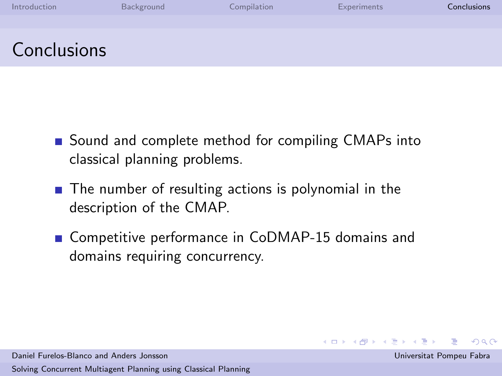| Introduction | Background | Compilation | <b>Experiments</b> | <b>Conclusions</b> |
|--------------|------------|-------------|--------------------|--------------------|
|              |            |             |                    |                    |
| Conclusions  |            |             |                    |                    |

- Sound and complete method for compiling CMAPs into classical planning problems.
- $\blacksquare$  The number of resulting actions is polynomial in the description of the CMAP.
- Competitive performance in CoDMAP-15 domains and domains requiring concurrency.

<span id="page-19-0"></span> $\Omega$ 

イロメ イ部メ イミメ イモメ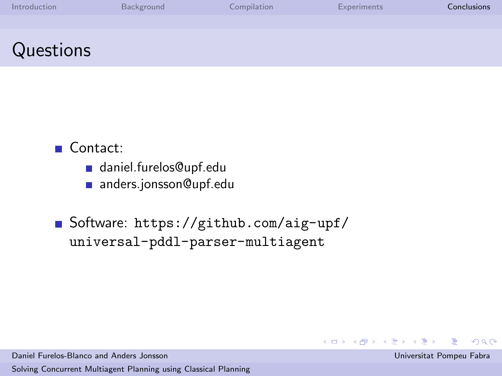| Introduction | Background | Compilation | <b>Experiments</b> | Conclusions |
|--------------|------------|-------------|--------------------|-------------|
|              |            |             |                    |             |
| Questions    |            |             |                    |             |

### ■ Contact:

- daniel.furelos@upf.edu
- anders.jonsson@upf.edu

Software: [https://github.com/aig-upf/](https://github.com/aig-upf/universal-pddl-parser-multiagent) [universal-pddl-parser-multiagent](https://github.com/aig-upf/universal-pddl-parser-multiagent)

Daniel Furelos-Blanco and Anders Jonsson Universitat Pompeu Fabra

[Solving Concurrent Multiagent Planning using Classical Planning](#page-0-0)

 $\Omega$ 

 $4$  ロ }  $4$   $\overline{m}$  }  $4$   $\overline{m}$  }